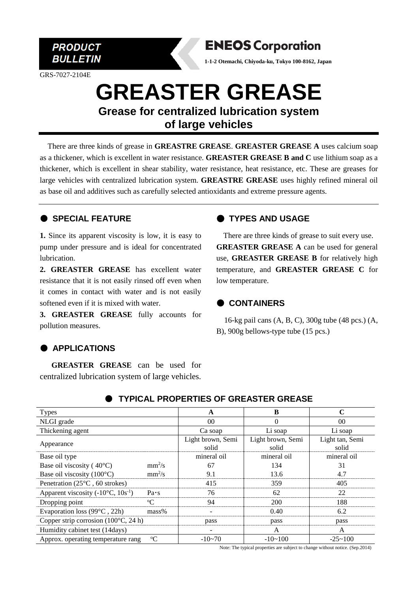

GRS-7027-2104E



**1-1-2 Otemachi, Chiyoda-ku, Tokyo 100-8162, Japan**

# **GREASTER GREASE Grease for centralized lubrication system**

**of large vehicles**

There are three kinds of grease in **GREASTRE GREASE**. **GREASTER GREASE A** uses calcium soap as a thickener, which is excellent in water resistance. **GREASTER GREASE B and C** use lithium soap as a thickener, which is excellent in shear stability, water resistance, heat resistance, etc. These are greases for large vehicles with centralized lubrication system. **GREASTRE GREASE** uses highly refined mineral oil as base oil and additives such as carefully selected antioxidants and extreme pressure agents.

## ● **SPECIAL FEATURE**

**1.** Since its apparent viscosity is low, it is easy to pump under pressure and is ideal for concentrated lubrication.

**2. GREASTER GREASE** has excellent water resistance that it is not easily rinsed off even when it comes in contact with water and is not easily softened even if it is mixed with water.

**3. GREASTER GREASE** fully accounts for pollution measures.

# ● **APPLICATIONS**

**GREASTER GREASE** can be used for centralized lubrication system of large vehicles.

# ● **TYPES AND USAGE**

There are three kinds of grease to suit every use. **GREASTER GREASE A** can be used for general use, **GREASTER GREASE B** for relatively high temperature, and **GREASTER GREASE C** for low temperature.

## ● **CONTAINERS**

16-kg pail cans (A, B, C), 300g tube (48 pcs.) (A, B), 900g bellows-type tube (15 pcs.)

| <b>Types</b>                                  |              | A                          | B                          | C                        |
|-----------------------------------------------|--------------|----------------------------|----------------------------|--------------------------|
| NLGI grade                                    |              | 00                         | 0                          | 00                       |
| Thickening agent                              |              | Ca soap                    | Li soap                    | Li soap                  |
| Appearance                                    |              | Light brown, Semi<br>solid | Light brown, Semi<br>solid | Light tan, Semi<br>solid |
| Base oil type                                 |              | mineral oil                | mineral oil                | mineral oil              |
| Base oil viscosity ( $40^{\circ}$ C)          | $mm^2/s$     | 67                         | 134                        | 31                       |
| Base oil viscosity $(100^{\circ}C)$           | $mm^2/s$     | 9.1                        | 13.6                       | 4.7                      |
| Penetration $(25^{\circ}C, 60$ strokes)       |              | 415                        | 359                        | 405                      |
| Apparent viscosity $(-10^{\circ}C, 10s^{-1})$ | $Pa \cdot s$ | 76                         | 62                         | 22                       |
| Dropping point                                | $\rm ^{o}C$  | 94                         | 200                        | 188                      |
| Evaporation loss $(99^{\circ}C, 22h)$         | $mass\%$     |                            | 0.40                       | 6.2                      |
| Copper strip corrosion $(100^{\circ}C, 24 h)$ |              | pass                       | pass                       | pass                     |
| Humidity cabinet test (14days)                |              |                            | A                          | A                        |
| Approx. operating temperature rang            | $-10 - 70$   | $-10 \sim 100$             | $-25 \sim 100$             |                          |

## ● **TYPICAL PROPERTIES OF GREASTER GREASE**

Note: The typical properties are subject to change without notice. (Sep.2014)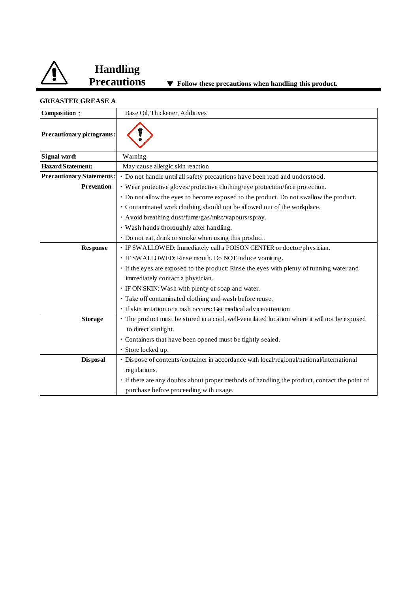

**Handling** 

### **GREASTER GREASE A**

| Composition:                     | Base Oil, Thickener, Additives                                                                |
|----------------------------------|-----------------------------------------------------------------------------------------------|
| Precautionary pictograms:        |                                                                                               |
| Signal word:                     | Warning                                                                                       |
| <b>Hazard Statement:</b>         | May cause allergic skin reaction                                                              |
| <b>Precautionary Statements:</b> | · Do not handle until all safety precautions have been read and understood.                   |
| <b>Prevention</b>                | • Wear protective gloves/protective clothing/eye protection/face protection.                  |
|                                  | • Do not allow the eyes to become exposed to the product. Do not swallow the product.         |
|                                  | • Contaminated work clothing should not be allowed out of the workplace.                      |
|                                  | · Avoid breathing dust/fume/gas/mist/vapours/spray.                                           |
|                                  | · Wash hands thoroughly after handling.                                                       |
|                                  | • Do not eat, drink or smoke when using this product.                                         |
| <b>Response</b>                  | · IF SWALLOWED: Immediately call a POISON CENTER or doctor/physician.                         |
|                                  | · IF SWALLOWED: Rinse mouth. Do NOT induce vomiting.                                          |
|                                  | · If the eyes are exposed to the product: Rinse the eyes with plenty of running water and     |
|                                  | immediately contact a physician.                                                              |
|                                  | • IF ON SKIN: Wash with plenty of soap and water.                                             |
|                                  | · Take off contaminated clothing and wash before reuse.                                       |
|                                  | · If skin irritation or a rash occurs: Get medical advice/attention.                          |
| <b>Storage</b>                   | · The product must be stored in a cool, well-ventilated location where it will not be exposed |
|                                  | to direct sunlight.                                                                           |
|                                  | · Containers that have been opened must be tightly sealed.                                    |
|                                  | · Store locked up.                                                                            |
| <b>Disposal</b>                  | · Dispose of contents/container in accordance with local/regional/national/international      |
|                                  | regulations.                                                                                  |
|                                  | If there are any doubts about proper methods of handling the product, contact the point of    |
|                                  | purchase before proceeding with usage.                                                        |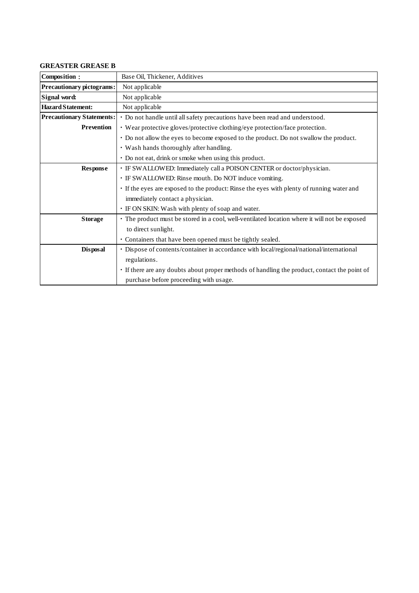### **GREASTER GREASE B**

| Composition:                     | Base Oil, Thickener, Additives                                                                |  |
|----------------------------------|-----------------------------------------------------------------------------------------------|--|
| <b>Precautionary pictograms:</b> | Not applicable                                                                                |  |
| Signal word:                     | Not applicable                                                                                |  |
| <b>Hazard Statement:</b>         | Not applicable                                                                                |  |
| <b>Precautionary Statements:</b> | • Do not handle until all safety precautions have been read and understood.                   |  |
| <b>Prevention</b>                | • Wear protective gloves/protective clothing/eye protection/face protection.                  |  |
|                                  | • Do not allow the eyes to become exposed to the product. Do not swallow the product.         |  |
|                                  | · Wash hands thoroughly after handling.                                                       |  |
|                                  | • Do not eat, drink or smoke when using this product.                                         |  |
| <b>Response</b>                  | · IF SWALLOWED: Immediately call a POISON CENTER or doctor/physician.                         |  |
|                                  | · IF SWALLOWED: Rinse mouth. Do NOT induce vomiting.                                          |  |
|                                  | · If the eyes are exposed to the product: Rinse the eyes with plenty of running water and     |  |
|                                  | immediately contact a physician.                                                              |  |
|                                  | · IF ON SKIN: Wash with plenty of soap and water.                                             |  |
| <b>Storage</b>                   | · The product must be stored in a cool, well-ventilated location where it will not be exposed |  |
|                                  | to direct sunlight.                                                                           |  |
|                                  | • Containers that have been opened must be tightly sealed.                                    |  |
| Disposal                         | · Dispose of contents/container in accordance with local/regional/national/international      |  |
|                                  | regulations.                                                                                  |  |
|                                  | • If there are any doubts about proper methods of handling the product, contact the point of  |  |
|                                  | purchase before proceeding with usage.                                                        |  |